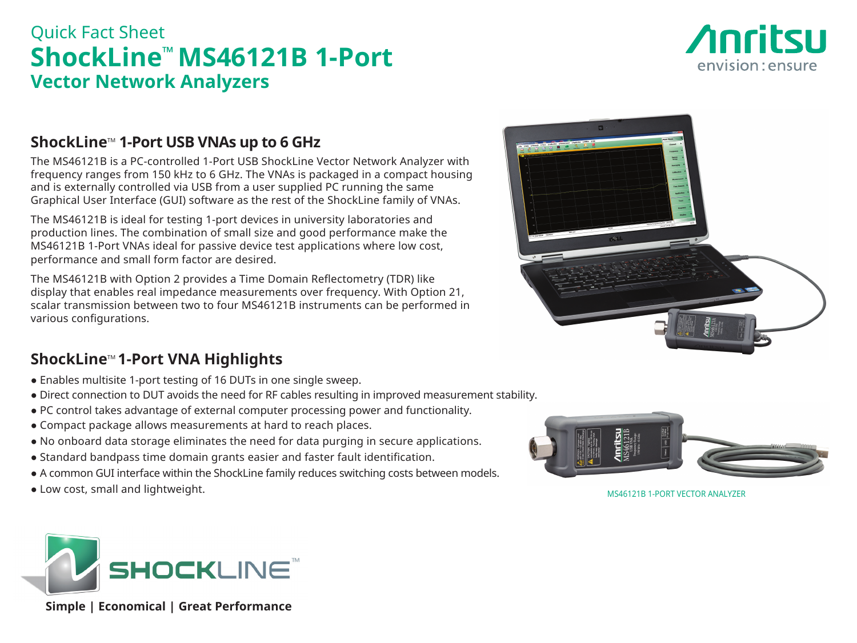# Quick Fact Sheet **ShockLine™ MS46121B 1-Port Vector Network Analyzers**



### **ShockLine<sup>™</sup> 1-Port USB VNAs up to 6 GHz**

The MS46121B is a PC-controlled 1-Port USB ShockLine Vector Network Analyzer with frequency ranges from 150 kHz to 6 GHz. The VNAs is packaged in a compact housing and is externally controlled via USB from a user supplied PC running the same Graphical User Interface (GUI) software as the rest of the ShockLine family of VNAs.

The MS46121B is ideal for testing 1-port devices in university laboratories and production lines. The combination of small size and good performance make the MS46121B 1-Port VNAs ideal for passive device test applications where low cost, performance and small form factor are desired.

The MS46121B with Option 2 provides a Time Domain Reflectometry (TDR) like display that enables real impedance measurements over frequency. With Option 21, scalar transmission between two to four MS46121B instruments can be performed in various configurations.



## **ShockLine<sup>™</sup> 1-Port VNA Highlights**

- Enables multisite 1-port testing of 16 DUTs in one single sweep.
- Direct connection to DUT avoids the need for RF cables resulting in improved measurement stability.
- PC control takes advantage of external computer processing power and functionality.
- Compact package allows measurements at hard to reach places.
- No onboard data storage eliminates the need for data purging in secure applications.
- Standard bandpass time domain grants easier and faster fault identification.
- A common GUI interface within the ShockLine family reduces switching costs between models.
- Low cost, small and lightweight. MS46121B 1-PORT VECTOR ANALYZER





 **Simple | Economical | Great Performance**